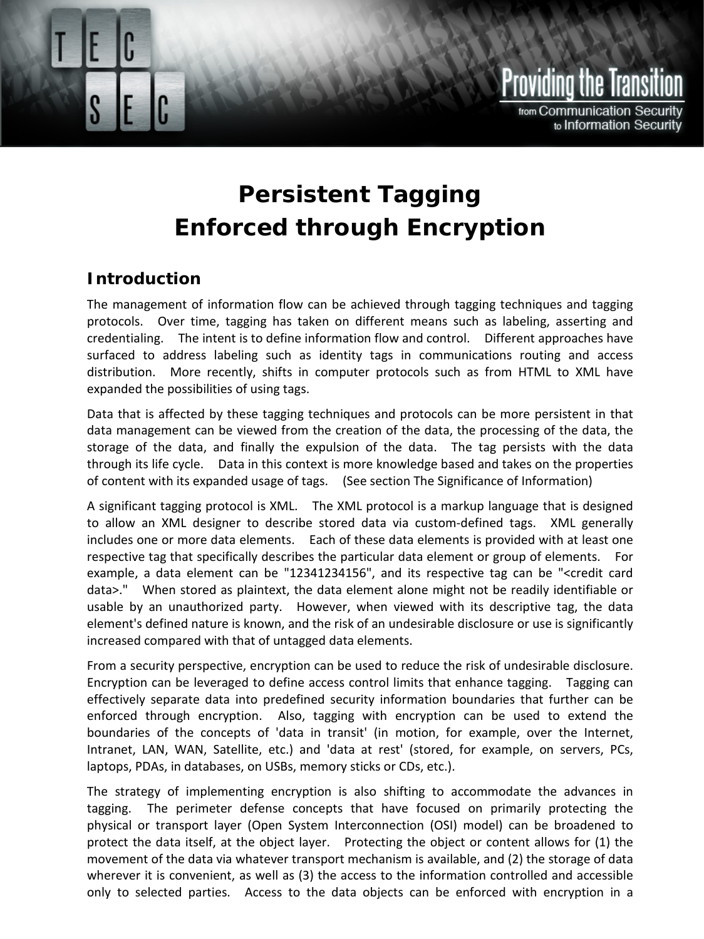

## **Persistent Tagging Enforced through Encryption**

## **Introduction**

The management of information flow can be achieved through tagging techniques and tagging protocols. Over time, tagging has taken on different means such as labeling, asserting and credentialing. The intent is to define information flow and control. Different approaches have surfaced to address labeling such as identity tags in communications routing and access distribution. More recently, shifts in computer protocols such as from HTML to XML have expanded the possibilities of using tags.

Data that is affected by these tagging techniques and protocols can be more persistent in that data management can be viewed from the creation of the data, the processing of the data, the storage of the data, and finally the expulsion of the data. The tag persists with the data through its life cycle. Data in this context is more knowledge based and takes on the properties of content with its expanded usage of tags. (See section [The Significance of Information\)](#page-2-0)

A significant tagging protocol is XML. The XML protocol is a markup language that is designed to allow an XML designer to describe stored data via custom-defined tags. XML generally includes one or more data elements. Each of these data elements is provided with at least one respective tag that specifically describes the particular data element or group of elements. For example, a data element can be "12341234156", and its respective tag can be "<credit card data>." When stored as plaintext, the data element alone might not be readily identifiable or usable by an unauthorized party. However, when viewed with its descriptive tag, the data element's defined nature is known, and the risk of an undesirable disclosure or use is significantly increased compared with that of untagged data elements.

From a security perspective, encryption can be used to reduce the risk of undesirable disclosure. Encryption can be leveraged to define access control limits that enhance tagging. Tagging can effectively separate data into predefined security information boundaries that further can be enforced through encryption. Also, tagging with encryption can be used to extend the boundaries of the concepts of 'data in transit' (in motion, for example, over the Internet, Intranet, LAN, WAN, Satellite, etc.) and 'data at rest' (stored, for example, on servers, PCs, laptops, PDAs, in databases, on USBs, memory sticks or CDs, etc.).

The strategy of implementing encryption is also shifting to accommodate the advances in tagging. The perimeter defense concepts that have focused on primarily protecting the physical or transport layer (Open System Interconnection (OSI) model) can be broadened to protect the data itself, at the object layer. Protecting the object or content allows for (1) the movement of the data via whatever transport mechanism is available, and (2) the storage of data wherever it is convenient, as well as (3) the access to the information controlled and accessible only to selected parties. Access to the data objects can be enforced with encryption in a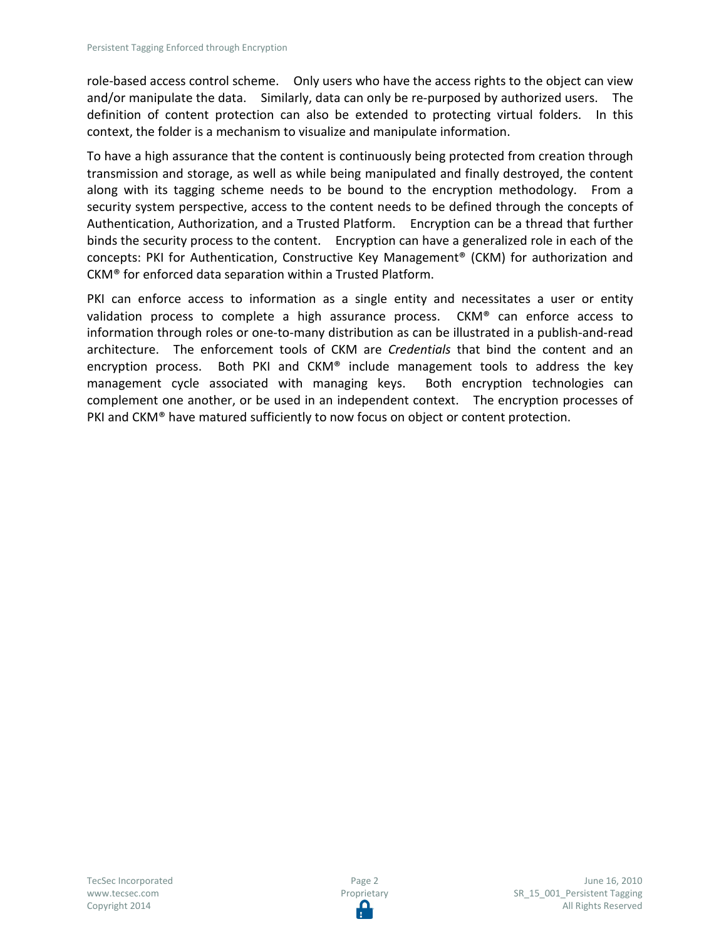role-based access control scheme. Only users who have the access rights to the object can view and/or manipulate the data. Similarly, data can only be re-purposed by authorized users. The definition of content protection can also be extended to protecting virtual folders. In this context, the folder is a mechanism to visualize and manipulate information.

To have a high assurance that the content is continuously being protected from creation through transmission and storage, as well as while being manipulated and finally destroyed, the content along with its tagging scheme needs to be bound to the encryption methodology. From a security system perspective, access to the content needs to be defined through the concepts of Authentication, Authorization, and a Trusted Platform. Encryption can be a thread that further binds the security process to the content. Encryption can have a generalized role in each of the concepts: PKI for Authentication, Constructive Key Management® (CKM) for authorization and CKM® for enforced data separation within a Trusted Platform.

PKI can enforce access to information as a single entity and necessitates a user or entity validation process to complete a high assurance process. CKM® can enforce access to information through roles or one-to-many distribution as can be illustrated in a publish-and-read architecture. The enforcement tools of CKM are *Credentials* that bind the content and an encryption process. Both PKI and  $CKM^*$  include management tools to address the key management cycle associated with managing keys. Both encryption technologies can complement one another, or be used in an independent context. The encryption processes of PKI and CKM® have matured sufficiently to now focus on object or content protection.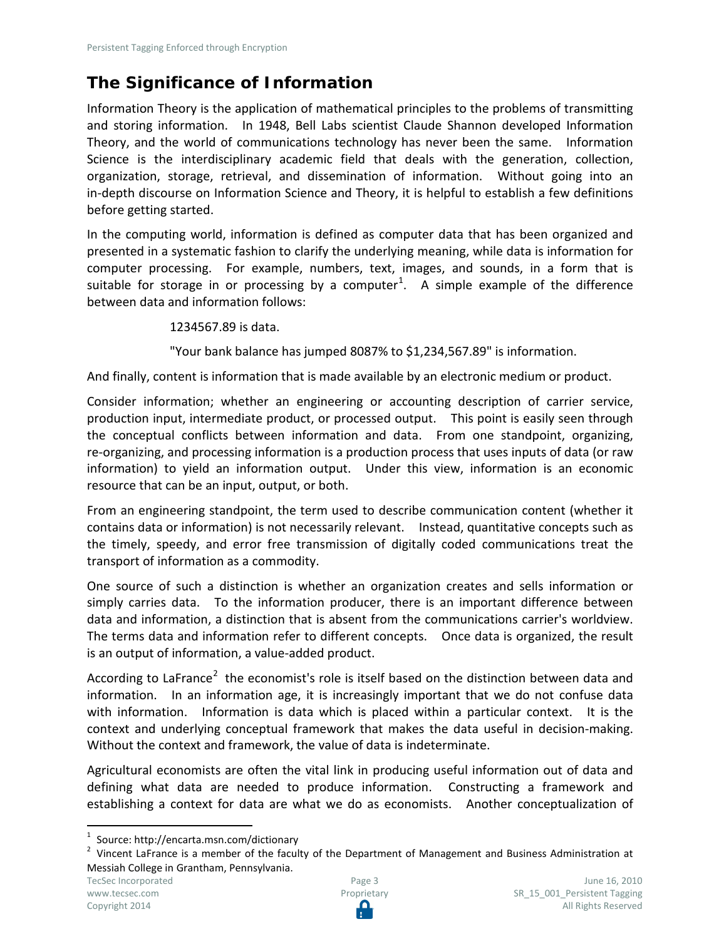## <span id="page-2-0"></span>**The Significance of Information**

Information Theory is the application of mathematical principles to the problems of transmitting and storing information. In 1948, Bell Labs scientist Claude Shannon developed Information Theory, and the world of communications technology has never been the same. Information Science is the interdisciplinary academic field that deals with the generation, collection, organization, storage, retrieval, and dissemination of information. Without going into an in-depth discourse on Information Science and Theory, it is helpful to establish a few definitions before getting started.

In the computing world, information is defined as computer data that has been organized and presented in a systematic fashion to clarify the underlying meaning, while data is information for computer processing. For example, numbers, text, images, and sounds, in a form that is suitable for storage in or processing by a computer<sup>[1](#page-2-1)</sup>. A simple example of the difference between data and information follows:

1234567.89 is data.

"Your bank balance has jumped 8087% to \$1,234,567.89" is information.

And finally, content is information that is made available by an electronic medium or product.

Consider information; whether an engineering or accounting description of carrier service, production input, intermediate product, or processed output. This point is easily seen through the conceptual conflicts between information and data. From one standpoint, organizing, re-organizing, and processing information is a production process that uses inputs of data (or raw information) to yield an information output. Under this view, information is an economic resource that can be an input, output, or both.

From an engineering standpoint, the term used to describe communication content (whether it contains data or information) is not necessarily relevant. Instead, quantitative concepts such as the timely, speedy, and error free transmission of digitally coded communications treat the transport of information as a commodity.

One source of such a distinction is whether an organization creates and sells information or simply carries data. To the information producer, there is an important difference between data and information, a distinction that is absent from the communications carrier's worldview. The terms data and information refer to different concepts. Once data is organized, the result is an output of information, a value-added product.

According to LaFrance<sup>[2](#page-2-2)</sup> the economist's role is itself based on the distinction between data and information. In an information age, it is increasingly important that we do not confuse data with information. Information is data which is placed within a particular context. It is the context and underlying conceptual framework that makes the data useful in decision-making. Without the context and framework, the value of data is indeterminate.

Agricultural economists are often the vital link in producing useful information out of data and defining what data are needed to produce information. Constructing a framework and establishing a context for data are what we do as economists. Another conceptualization of

 $\overline{a}$ 

<span id="page-2-2"></span><span id="page-2-1"></span>

<sup>&</sup>lt;sup>1</sup> Source: http://encarta.msn.com/dictionary<br><sup>2</sup> Vincent LaFrance is a member of the faculty of the Department of Management and Business Administration at Messiah College in Grantham, Pennsylvania.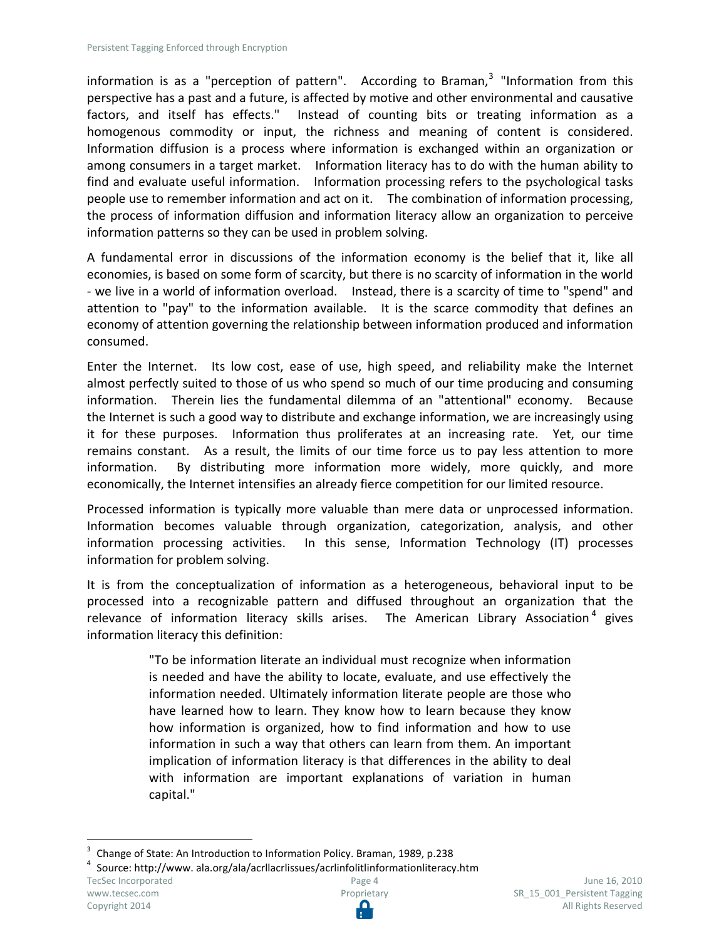information is as a "perception of pattern". According to Braman,<sup>[3](#page-3-0)</sup> "Information from this perspective has a past and a future, is affected by motive and other environmental and causative factors, and itself has effects." Instead of counting bits or treating information as a homogenous commodity or input, the richness and meaning of content is considered. Information diffusion is a process where information is exchanged within an organization or among consumers in a target market. Information literacy has to do with the human ability to find and evaluate useful information. Information processing refers to the psychological tasks people use to remember information and act on it. The combination of information processing, the process of information diffusion and information literacy allow an organization to perceive information patterns so they can be used in problem solving.

A fundamental error in discussions of the information economy is the belief that it, like all economies, is based on some form of scarcity, but there is no scarcity of information in the world - we live in a world of information overload. Instead, there is a scarcity of time to "spend" and attention to "pay" to the information available. It is the scarce commodity that defines an economy of attention governing the relationship between information produced and information consumed.

Enter the Internet. Its low cost, ease of use, high speed, and reliability make the Internet almost perfectly suited to those of us who spend so much of our time producing and consuming information. Therein lies the fundamental dilemma of an "attentional" economy. Because the Internet is such a good way to distribute and exchange information, we are increasingly using it for these purposes. Information thus proliferates at an increasing rate. Yet, our time remains constant. As a result, the limits of our time force us to pay less attention to more information. By distributing more information more widely, more quickly, and more economically, the Internet intensifies an already fierce competition for our limited resource.

Processed information is typically more valuable than mere data or unprocessed information. Information becomes valuable through organization, categorization, analysis, and other information processing activities. In this sense, Information Technology (IT) processes information for problem solving.

It is from the conceptualization of information as a heterogeneous, behavioral input to be processed into a recognizable pattern and diffused throughout an organization that the relevance of information literacy skills arises. The American Library Association<sup>[4](#page-3-1)</sup> gives information literacy this definition:

> "To be information literate an individual must recognize when information is needed and have the ability to locate, evaluate, and use effectively the information needed. Ultimately information literate people are those who have learned how to learn. They know how to learn because they know how information is organized, how to find information and how to use information in such a way that others can learn from them. An important implication of information literacy is that differences in the ability to deal with information are important explanations of variation in human capital."

 $\overline{a}$ 

<span id="page-3-0"></span><sup>3</sup> Change of State: An Introduction to Information Policy. Braman, 1989, p.238<br><sup>4</sup> Source: http://www. ala.org/ala/acrllacrlissues/acrlinfolitlinformationliteracy.htm TecSec Incorporated [www.tecsec.com](http://www.tecsec.com/) Copyright 2014 Page 4 Proprietary

<span id="page-3-1"></span>